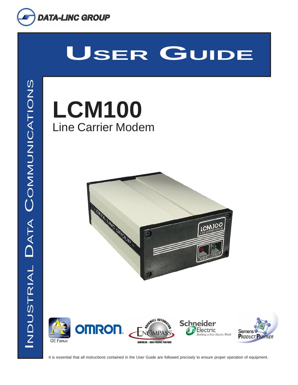

# **USER GUIDE**

**GE Fanuc** 





**Siemens PRODUCT PARTNER** 

It is essential that all instructions contained in the User Guide are followed precisely to ensure proper operation of equipment.

**AMERICAS · ASIA-PACIFIC PARTNER**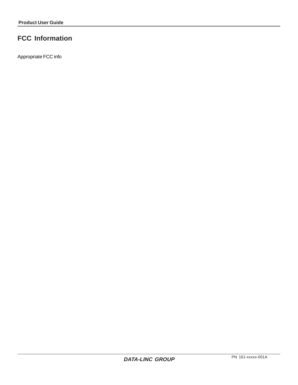# **FCC Information**

Appropriate FCC info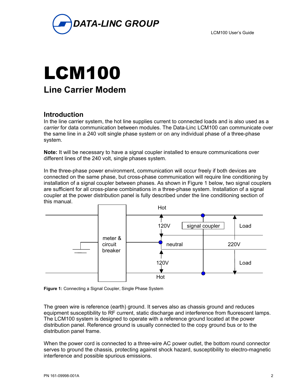



## **Introduction**

In the line carrier system, the hot line supplies current to connected loads and is also used as a *carrier* for data communication between modules. The Data-Linc LCM100 can communicate over the same line in a 240 volt single phase system or on any individual phase of a three-phase system.

**Note:** It will be necessary to have a signal coupler installed to ensure communications over different lines of the 240 volt, single phases system.

In the three-phase power environment, communication will occur freely if both devices are connected on the same phase, but cross-phase communication will require line conditioning by installation of a signal coupler between phases. As shown in Figure 1 below, two signal couplers are sufficient for all cross-plane combinations in a three-phase system. Installation of a signal coupler at the power distribution panel is fully described under the line conditioning section of this manual.



**Figure 1:** Connecting a Signal Coupler, Single Phase System

The green wire is reference (earth) ground. It serves also as chassis ground and reduces equipment susceptibility to RF current, static discharge and interference from fluorescent lamps. The LCM100 system is designed to operate with a reference ground located at the power distribution panel. Reference ground is usually connected to the copy ground bus or to the distribution panel frame.

When the power cord is connected to a three-wire AC power outlet, the bottom round connector serves to ground the chassis, protecting against shock hazard, susceptibility to electro-magnetic interference and possible spurious emissions.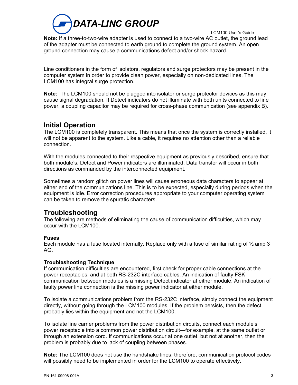

 LCM100 User's Guide **Note:** If a three-to-two-wire adapter is used to connect to a two-wire AC outlet, the ground lead of the adapter must be connected to earth ground to complete the ground system. An open ground connection may cause a communications defect and/or shock hazard.

Line conditioners in the form of isolators, regulators and surge protectors may be present in the computer system in order to provide clean power, especially on non-dedicated lines. The LCM100 has integral surge protection.

**Note:** The LCM100 should not be plugged into isolator or surge protector devices as this may cause signal degradation. If Detect indicators do not illuminate with both units connected to line power, a coupling capacitor may be required for cross-phase communication (see appendix B).

# **Initial Operation**

The LCM100 is completely transparent. This means that once the system is correctly installed, it will not be apparent to the system. Like a cable, it requires no attention other than a reliable connection.

With the modules connected to their respective equipment as previously described, ensure that both module's, Detect and Power indicators are illuminated. Data transfer will occur in both directions as commanded by the interconnected equipment.

Sometimes a random glitch on power lines will cause erroneous data characters to appear at either end of the communications line. This is to be expected, especially during periods when the equipment is idle. Error correction procedures appropriate to your computer operating system can be taken to remove the spuratic characters.

## **Troubleshooting**

The following are methods of eliminating the cause of communication difficulties, which may occur with the LCM100.

#### **Fuses**

Each module has a fuse located internally. Replace only with a fuse of similar rating of  $\frac{1}{2}$  amp 3 AG.

#### **Troubleshooting Technique**

If communication difficulties are encountered, first check for proper cable connections at the power receptacles, and at both RS-232C interface cables. An indication of faulty FSK communication between modules is a missing Detect indicator at either module. An indication of faulty power line connection is the missing power indicator at either module.

To isolate a communications problem from the RS-232C interface, simply connect the equipment directly, without going through the LCM100 modules. If the problem persists, then the defect probably lies within the equipment and not the LCM100.

To isolate line carrier problems from the power distribution circuits, connect each module's power receptacle into a common power distribution circuit—for example, at the same outlet or through an extension cord. If communications occur at one outlet, but not at another, then the problem is probably due to lack of coupling between phases.

**Note:** The LCM100 does not use the handshake lines; therefore, communication protocol codes will possibly need to be implemented in order for the LCM100 to operate effectively.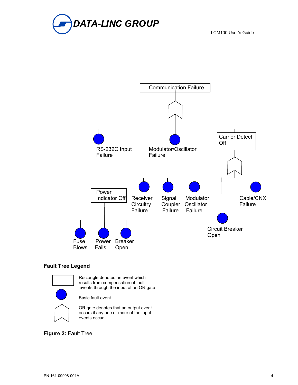



#### **Fault Tree Legend**



Rectangle denotes an event which results from compensation of fault events through the input of an OR gate

Basic fault event

OR gate denotes that an output event occurs if any one or more of the input events occur.

**Figure 2:** Fault Tree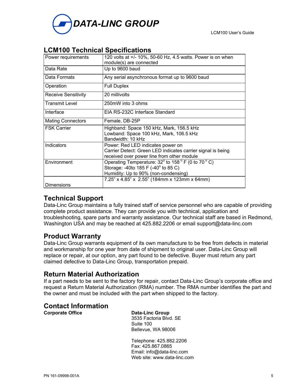



# **LCM100 Technical Specifications**

| Power requirements         | 120 volts at +/- 10%, 50-60 Hz, 4.5 watts. Power is on when<br>module(s) are connected                                                                       |
|----------------------------|--------------------------------------------------------------------------------------------------------------------------------------------------------------|
| Data Rate                  | Up to 9600 baud                                                                                                                                              |
| Data Formats               | Any serial asynchronous format up to 9600 baud                                                                                                               |
| Operation                  | <b>Full Duplex</b>                                                                                                                                           |
| <b>Receive Sensitivity</b> | 20 millivolts                                                                                                                                                |
| <b>Transmit Level</b>      | 250mW into 3 ohms                                                                                                                                            |
| Interface                  | EIA RS-232C Interface Standard                                                                                                                               |
| <b>Mating Connectors</b>   | Female, DB-25P                                                                                                                                               |
| <b>FSK Carrier</b>         | Highband: Space 150 kHz, Mark, 156.5 kHz<br>Lowband: Space 100 kHz, Mark, 106.5 kHz<br>Bandwidth: 10 kHz                                                     |
| Indicators                 | Power: Red LED indicates power on<br>Carrier Detect: Green LED indicates carrier signal is being<br>received over power line from other module               |
| Environment                | Operating Temperature: $32^{\circ}$ to $158^{\circ}$ F (0 to 70 $^{\circ}$ C)<br>Storage: -40to 185 F (-40° to 85 C)<br>Humidity: Up to 90% (non-condensing) |
|                            | 7.25" x 4.85" x 2.55" (184mm x 123mm x 64mm)                                                                                                                 |
| Dimensions                 |                                                                                                                                                              |

# **Technical Support**

Data-Linc Group maintains a fully trained staff of service personnel who are capable of providing complete product assistance. They can provide you with technical, application and troubleshooting, spare parts and warranty assistance. Our technical staff are based in Redmond, Washington USA and may be reached at 425.882.2206 or email support@data-linc.com

# **Product Warranty**

Data-Linc Group warrants equipment of its own manufacture to be free from defects in material and workmanship for one year from date of shipment to original user. Data-Linc Group will replace or repair, at our option, any part found to be defective. Buyer must return any part claimed defective to Data-Linc Group, transportation prepaid.

## **Return Material Authorization**

If a part needs to be sent to the factory for repair, contact Data-Linc Group's corporate office and request a Return Material Authorization (RMA) number. The RMA number identifies the part and the owner and must be included with the part when shipped to the factory.

# **Contact Information**

#### **Data-Linc Group**  3535 Factoria Blvd. SE Suite 100 Bellevue, WA 98006

 Telephone: 425.882.2206 Fax: 425.867.0865 Email: [info@data-linc.com](mailto:info@data-linc.com) Web site: [www.data-linc.com](http://www.data-linc.com/)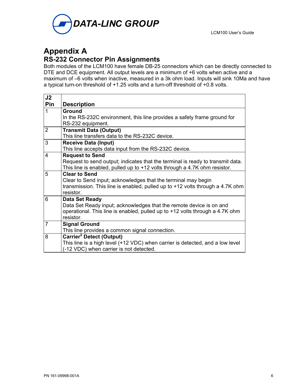

# **Appendix A**

# **RS-232 Connector Pin Assignments**

Both modules of the LCM100 have female DB-25 connectors which can be directly connected to DTE and DCE equipment. All output levels are a minimum of +6 volts when active and a maximum of –6 volts when inactive, measured in a 3k ohm load. Inputs will sink 10Ma and have a typical turn-on threshold of +1.25 volts and a turn-off threshold of +0.8 volts.

| J <sub>2</sub> |                                                                                                                          |
|----------------|--------------------------------------------------------------------------------------------------------------------------|
| Pin            | <b>Description</b>                                                                                                       |
| $\mathbf{1}$   | Ground                                                                                                                   |
|                | In the RS-232C environment, this line provides a safety frame ground for                                                 |
|                | RS-232 equipment.                                                                                                        |
| $\overline{2}$ | <b>Transmit Data (Output)</b>                                                                                            |
|                | This line transfers data to the RS-232C device.                                                                          |
| 3              | <b>Receive Data (Input)</b>                                                                                              |
|                | This line accepts data input from the RS-232C device.                                                                    |
| $\overline{4}$ | <b>Request to Send</b>                                                                                                   |
|                | Request to send output; indicates that the terminal is ready to transmit data.                                           |
|                | This line is enabled, pulled up to $+12$ volts through a 4.7K ohm resistor.                                              |
| 5              | <b>Clear to Send</b>                                                                                                     |
|                | Clear to Send input; acknowledges that the terminal may begin                                                            |
|                | transmission. This line is enabled, pulled up to +12 volts through a 4.7K ohm                                            |
|                | resistor.                                                                                                                |
| 6              | Data Set Ready                                                                                                           |
|                | Data Set Ready input; acknowledges that the remote device is on and                                                      |
|                | operational. This line is enabled, pulled up to +12 volts through a 4.7K ohm<br>resistor.                                |
| $\overline{7}$ |                                                                                                                          |
|                | <b>Signal Ground</b><br>This line provides a common signal connection.                                                   |
| 8              | <b>Carrier<sup>2</sup></b> Detect (Output)                                                                               |
|                |                                                                                                                          |
|                | This line is a high level (+12 VDC) when carrier is detected, and a low level<br>(-12 VDC) when carrier is not detected. |
|                |                                                                                                                          |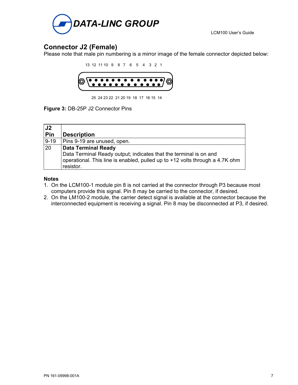

# **Connector J2 (Female)**

Please note that male pin numbering is a mirror image of the female connector depicted below:

 13 12 11 10 9 8 7 6 5 4 3 2 1  $\bullet\bullet\bullet\bullet\bullet\bullet$  $\bullet$  $\overline{\bullet}$  $\bullet\bullet$  $\bullet\hspace{0.1cm} \bullet\hspace{0.1cm} \bullet\hspace{0.1cm} \bullet$  $\bullet$  $\bullet$ 

25 24 23 22 21 20 19 18 17 16 15 14

**Figure 3:** DB-25P J2 Connector Pins

| J <sub>2</sub><br>Pin | <b>Description</b>                                                                                                                                                                           |
|-----------------------|----------------------------------------------------------------------------------------------------------------------------------------------------------------------------------------------|
| $9 - 19$              | Pins 9-19 are unused, open.                                                                                                                                                                  |
| 20                    | <b>Data Terminal Ready</b><br>Data Terminal Ready output; indicates that the terminal is on and<br>operational. This line is enabled, pulled up to +12 volts through a 4.7K ohm<br>resistor. |

#### **Notes**

- 1. On the LCM100-1 module pin 8 is not carried at the connector through P3 because most computers provide this signal. Pin 8 may be carried to the connector, if desired.
- 2. On the LM100-2 module, the carrier detect signal is available at the connector because the interconnected equipment is receiving a signal. Pin 8 may be disconnected at P3, if desired.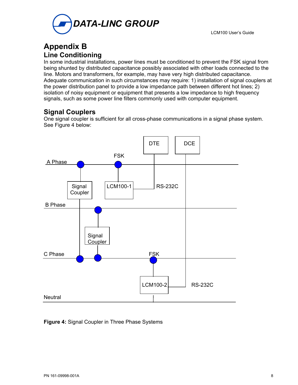

# **Appendix B Line Conditioning**

In some industrial installations, power lines must be conditioned to prevent the FSK signal from being shunted by distributed capacitance possibly associated with other loads connected to the line. Motors and transformers, for example, may have very high distributed capacitance. Adequate communication in such circumstances may require: 1) installation of signal couplers at the power distribution panel to provide a low impedance path between different hot lines; 2) isolation of noisy equipment or equipment that presents a low impedance to high frequency signals, such as some power line filters commonly used with computer equipment.

# **Signal Couplers**

One signal coupler is sufficient for all cross-phase communications in a signal phase system. See Figure 4 below:



**Figure 4:** Signal Coupler in Three Phase Systems